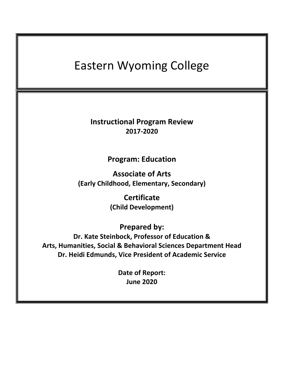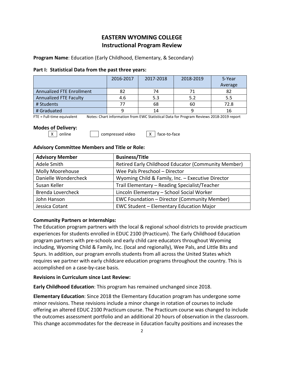# **EASTERN WYOMING COLLEGE Instructional Program Review**

**Program Name**: Education (Early Childhood, Elementary, & Secondary)

### **Part I: Statistical Data from the past three years:**

|                                  | 2016-2017 | 2017-2018 | 2018-2019 | 5-Year  |
|----------------------------------|-----------|-----------|-----------|---------|
|                                  |           |           |           | Average |
| <b>Annualized FTE Enrollment</b> | 82        | 74        |           | 82      |
| <b>Annualized FTE Faculty</b>    | 4.6       | 5.3       | 5.2       | 5.5     |
| # Students                       |           | 68        | 60        | 72.8    |
| # Graduated                      |           | 14        |           | 16      |

FTE = Full-time equivalent Notes: Chart information from EWC Statistical Data for Program Reviews 2018-2019 report

# **Modes of Delivery:**

 $\boxed{\mathsf{X}}$  online  $\boxed{\phantom{0}}$  compressed video  $\boxed{\mathsf{X}}$  face-to-face

# **Advisory Committee Members and Title or Role:**

| <b>Advisory Member</b> | <b>Business/Title</b>                               |
|------------------------|-----------------------------------------------------|
| Adele Smith            | Retired Early Childhood Educator (Community Member) |
| Molly Moorehouse       | Wee Pals Preschool - Director                       |
| Danielle Wondercheck   | Wyoming Child & Family, Inc. - Executive Director   |
| Susan Keller           | Trail Elementary - Reading Specialist/Teacher       |
| Brenda Lovercheck      | Lincoln Elementary - School Social Worker           |
| John Hanson            | <b>EWC Foundation - Director (Community Member)</b> |
| Jessica Cotant         | <b>EWC Student - Elementary Education Major</b>     |

# **Community Partners or Internships:**

The Education program partners with the local & regional school districts to provide practicum experiences for students enrolled in EDUC 2100 (Practicum). The Early Childhood Education program partners with pre-schools and early child care educators throughout Wyoming including, Wyoming Child & Family, Inc. (local and regionally), Wee Pals, and Little Bits and Spurs. In addition, our program enrolls students from all across the United States which requires we partner with early childcare education programs throughout the country. This is accomplished on a case-by-case basis.

# **Revisions in Curriculum since Last Review:**

**Early Childhood Education**: This program has remained unchanged since 2018.

**Elementary Education**: Since 2018 the Elementary Education program has undergone some minor revisions. These revisions include a minor change in rotation of courses to include offering an altered EDUC 2100 Practicum course. The Practicum course was changed to include the outcomes assessment portfolio and an additional 20 hours of observation in the classroom. This change accommodates for the decrease in Education faculty positions and increases the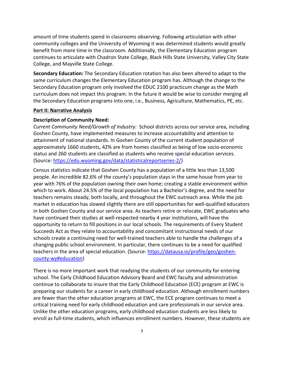amount of time students spend in classrooms observing. Following articulation with other community colleges and the University of Wyoming it was determined students would greatly benefit from more time in the classroom. Additionally, the Elementary Education program continues to articulate with Chadron State College, Black Hills State University, Valley City State College, and Mayville State College.

**Secondary Education:** The Secondary Education rotation has also been altered to adapt to the same curriculum changes the Elementary Education program has. Although the change to the Secondary Education program only involved the EDUC 2100 practicum change as the Math curriculum does not impact this program. In the future it would be wise to consider merging all the Secondary Education programs into one, i.e., Business, Agriculture, Mathematics, PE, etc.

#### **Part II: Narrative Analysis**

#### **Description of Community Need:**

*Current Community Need/Growth of Industry:* School districts across our service area, including Goshen County, have implemented measures to increase accountability and attention to attainment of national standards. In Goshen County of the current student population of approximately 1660 students, 42% are from homes classified as being of low socio-economic status and 260 students are classified as students who receive special education services. (Source: [https://edu.wyoming.gov/data/statisticalreportseries-2/\)](https://edu.wyoming.gov/data/statisticalreportseries-2/)

Census statistics indicate that Goshen County has a population of a little less than 13,500 people. An incredible 82.6% of the county's population stays in the same house from year to year with 76% of the population owning their own home; creating a stable environment within which to work. About 24.5% of the local population has a Bachelor's degree, and the need for teachers remains steady, both locally, and throughout the EWC outreach area. While the job market in education has slowed slightly there are still opportunities for well-qualified educators in both Goshen County and our service area. As teachers retire or relocate, EWC graduates who have continued their studies at well-respected nearby 4 year institutions, will have the opportunity to return to fill positions in our local schools. The requirements of Every Student Succeeds Act as they relate to accountability and concomitant instructional needs of our schools create a continuing need for well-trained teachers able to handle the challenges of a changing public school environment. In particular, there continues to be a need for qualified teachers in the area of special education. (Source: [https://datausa.io/profile/geo/goshen](https://datausa.io/profile/geo/goshen-county-wy#education)[county-wy#education\)](https://datausa.io/profile/geo/goshen-county-wy#education)

There is no more important work that readying the students of our community for entering school. The Early Childhood Education Advisory Board and EWC faculty and administration continue to collaborate to insure that the Early Childhood Education (ECE) program at EWC is preparing our students for a career in early childhood education. Although enrollment numbers are fewer than the other education programs at EWC, the ECE program continues to meet a critical training need for early childhood education and care professionals in our service area. Unlike the other education programs, early childhood education students are less likely to enroll as full-time students, which influences enrollment numbers. However, these students are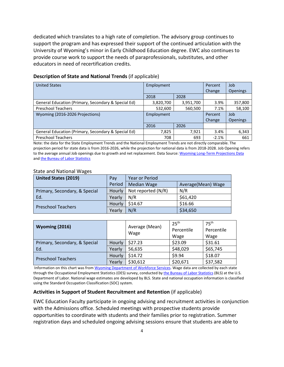dedicated which translates to a high rate of completion. The advisory group continues to support the program and has expressed their support of the continued articulation with the University of Wyoming's minor in Early Childhood Education degree. EWC also continues to provide course work to support the needs of paraprofessionals, substitutes, and other educators in need of recertification credits.

| <b>United States</b>                                | Employment |           | Percent | Job             |
|-----------------------------------------------------|------------|-----------|---------|-----------------|
|                                                     |            |           | Change  | <b>Openings</b> |
|                                                     | 2018       | 2028      |         |                 |
| General Education (Primary, Secondary & Special Ed) | 3,820,700  | 3,951,700 | 3.9%    | 357,800         |
| <b>Preschool Teachers</b>                           | 532,600    | 560,500   | 7.1%    | 58,100          |
| Wyoming (2016-2026 Projections)                     | Employment |           | Percent | Job             |
|                                                     |            |           | Change  | Openings        |
|                                                     | 2016       | 2026      |         |                 |
| General Education (Primary, Secondary & Special Ed) | 7.825      | 7.921     | 3.4%    | 6,343           |
| <b>Preschool Teachers</b>                           | 708        | 693       | $-2.1%$ | 661             |

#### **Description of State and National Trends** (if applicable)

Note: the data for the State Employment Trends and the National Employment Trends are not directly comparable. The projection period for state data is from 2016-2026, while the projection for national data is from 2018-2028. Job Opening refers to the average annual Job openings due to growth and net replacement. Data Source[: Wyoming Long-Term Projections Data](https://doe.state.wy.us/lmi/projections/2018/WY_long_term_projections_2016-2026.pdf) and [the Bureau of Labor Statistics](https://www.bls.gov/emp/tables/emp-by-detailed-occupation.htm)

#### State and National Wages

| <b>United States (2019)</b>   | Pav           | Year or Period     |                    |  |
|-------------------------------|---------------|--------------------|--------------------|--|
|                               | Period        | <b>Median Wage</b> | Average(Mean) Wage |  |
| Primary, Secondary, & Special | <b>Hourly</b> | Not reported (N/R) | N/R                |  |
| Ed.                           | Yearly        | N/R                | \$61,420           |  |
|                               | Hourly        | \$14.67            | \$16.66            |  |
| <b>Preschool Teachers</b>     | Yearly        | N/R                | \$34,650           |  |

| <b>Wyoming (2016)</b>         |        | Average (Mean) | 25 <sup>th</sup> | 75 <sup>th</sup> |
|-------------------------------|--------|----------------|------------------|------------------|
|                               |        | Wage           | Percentile       | Percentile       |
|                               |        |                | Wage             | Wage             |
| Primary, Secondary, & Special | Hourly | \$27.23        | \$23.09          | \$31.61          |
| Ed.                           | Yearly | 56,635         | \$48,029         | \$65,745         |
| <b>Preschool Teachers</b>     | Hourly | \$14.72        | \$9.94           | \$18.07          |
|                               | Yearly | \$30,612       | \$20,671         | \$37,582         |

Information on this chart was from [Wyoming Department of Workforce Services.](https://www.bls.gov/oes/current/oes_wy.htm#25-0000) Wage data are collected by each state through the Occupational Employment Statistics (OES) survey, conducted by [the Bureau of Labor Statistics](https://www.bls.gov/emp/tables/emp-by-detailed-occupation.htm) (BLS) at the U.S. Department of Labor. National wage estimates are developed by BLS. State and national occupation information is classified using the Standard Occupation Classification (SOC) system.

### **Activities in Support of Student Recruitment and Retention** (if applicable)

EWC Education Faculty participate in ongoing advising and recruitment activities in conjunction with the Admissions office. Scheduled meetings with prospective students provide opportunities to coordinate with students and their families prior to registration. Summer registration days and scheduled ongoing advising sessions ensure that students are able to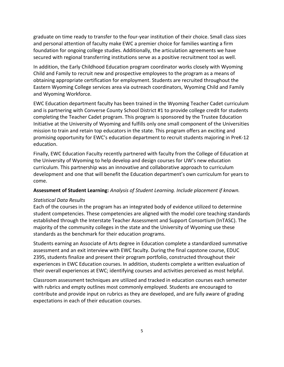graduate on time ready to transfer to the four-year institution of their choice. Small class sizes and personal attention of faculty make EWC a premier choice for families wanting a firm foundation for ongoing college studies. Additionally, the articulation agreements we have secured with regional transferring institutions serve as a positive recruitment tool as well.

In addition, the Early Childhood Education program coordinator works closely with Wyoming Child and Family to recruit new and prospective employees to the program as a means of obtaining appropriate certification for employment. Students are recruited throughout the Eastern Wyoming College services area via outreach coordinators, Wyoming Child and Family and Wyoming Workforce.

EWC Education department faculty has been trained in the Wyoming Teacher Cadet curriculum and is partnering with Converse County School District #1 to provide college credit for students completing the Teacher Cadet program. This program is sponsored by the Trustee Education Initiative at the University of Wyoming and fulfills only one small component of the Universities mission to train and retain top educators in the state. This program offers an exciting and promising opportunity for EWC's education department to recruit students majoring in PreK-12 education.

Finally, EWC Education Faculty recently partnered with faculty from the College of Education at the University of Wyoming to help develop and design courses for UW's new education curriculum. This partnership was an innovative and collaborative approach to curriculum development and one that will benefit the Education department's own curriculum for years to come.

### **Assessment of Student Learning:** *Analysis of Student Learning. Include placement if known.*

### *Statistical Data Results*

Each of the courses in the program has an integrated body of evidence utilized to determine student competencies. These competencies are aligned with the model core teaching standards established through the Interstate Teacher Assessment and Support Consortium (InTASC). The majority of the community colleges in the state and the University of Wyoming use these standards as the benchmark for their education programs.

Students earning an Associate of Arts degree in Education complete a standardized summative assessment and an exit interview with EWC faculty. During the final capstone course, EDUC 2395, students finalize and present their program portfolio, constructed throughout their experiences in EWC Education courses. In addition, students complete a written evaluation of their overall experiences at EWC; identifying courses and activities perceived as most helpful.

Classroom assessment techniques are utilized and tracked in education courses each semester with rubrics and empty outlines most commonly employed. Students are encouraged to contribute and provide input on rubrics as they are developed, and are fully aware of grading expectations in each of their education courses.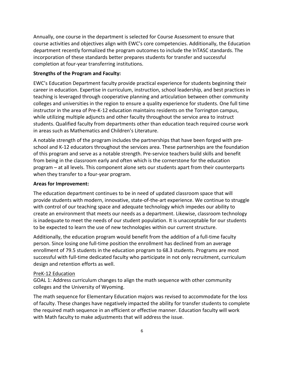Annually, one course in the department is selected for Course Assessment to ensure that course activities and objectives align with EWC's core competencies. Additionally, the Education department recently formalized the program outcomes to include the InTASC standards. The incorporation of these standards better prepares students for transfer and successful completion at four-year transferring institutions.

### **Strengths of the Program and Faculty:**

EWC's Education Department faculty provide practical experience for students beginning their career in education. Expertise in curriculum, instruction, school leadership, and best practices in teaching is leveraged through cooperative planning and articulation between other community colleges and universities in the region to ensure a quality experience for students. One full time instructor in the area of Pre-K-12 education maintains residents on the Torrington campus, while utilizing multiple adjuncts and other faculty throughout the service area to instruct students. Qualified faculty from departments other than education teach required course work in areas such as Mathematics and Children's Literature.

A notable strength of the program includes the partnerships that have been forged with preschool and K-12 educators throughout the services area. These partnerships are the foundation of this program and serve as a notable strength. Pre-service teachers build skills and benefit from being in the classroom early and often which is the cornerstone for the education program – at all levels. This component alone sets our students apart from their counterparts when they transfer to a four-year program.

### **Areas for Improvement:**

The education department continues to be in need of updated classroom space that will provide students with modern, innovative, state-of-the-art experience. We continue to struggle with control of our teaching space and adequate technology which impedes our ability to create an environment that meets our needs as a department. Likewise, classroom technology is inadequate to meet the needs of our student population. It is unacceptable for our students to be expected to learn the use of new technologies within our current structure.

Additionally, the education program would benefit from the addition of a full-time faculty person. Since losing one full-time position the enrollment has declined from an average enrollment of 79.5 students in the education program to 68.3 students. Programs are most successful with full-time dedicated faculty who participate in not only recruitment, curriculum design and retention efforts as well.

### PreK-12 Education

GOAL 1: Address curriculum changes to align the math sequence with other community colleges and the University of Wyoming.

The math sequence for Elementary Education majors was revised to accommodate for the loss of faculty. These changes have negatively impacted the ability for transfer students to complete the required math sequence in an efficient or effective manner. Education faculty will work with Math faculty to make adjustments that will address the issue.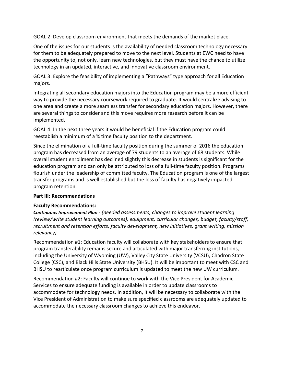GOAL 2: Develop classroom environment that meets the demands of the market place.

One of the issues for our students is the availability of needed classroom technology necessary for them to be adequately prepared to move to the next level. Students at EWC need to have the opportunity to, not only, learn new technologies, but they must have the chance to utilize technology in an updated, interactive, and innovative classroom environment.

GOAL 3: Explore the feasibility of implementing a "Pathways" type approach for all Education majors.

Integrating all secondary education majors into the Education program may be a more efficient way to provide the necessary coursework required to graduate. It would centralize advising to one area and create a more seamless transfer for secondary education majors. However, there are several things to consider and this move requires more research before it can be implemented.

GOAL 4: In the next three years it would be beneficial if the Education program could reestablish a minimum of a ¾ time faculty position to the department.

Since the elimination of a full-time faculty position during the summer of 2016 the education program has decreased from an average of 79 students to an average of 68 students. While overall student enrollment has declined slightly this decrease in students is significant for the education program and can only be attributed to loss of a full-time faculty position. Programs flourish under the leadership of committed faculty. The Education program is one of the largest transfer programs and is well established but the loss of faculty has negatively impacted program retention.

# **Part III: Recommendations**

# **Faculty Recommendations:**

*Continuous Improvement Plan - (needed assessments, changes to improve student learning (review/write student learning outcomes), equipment, curricular changes, budget, faculty/staff, recruitment and retention efforts, faculty development, new initiatives, grant writing, mission relevancy)*

Recommendation #1: Education faculty will collaborate with key stakeholders to ensure that program transferability remains secure and articulated with major transferring institutions, including the University of Wyoming (UW), Valley City State University (VCSU), Chadron State College (CSC), and Black Hills State University (BHSU). It will be important to meet with CSC and BHSU to rearticulate once program curriculum is updated to meet the new UW curriculum.

Recommendation #2: Faculty will continue to work with the Vice President for Academic Services to ensure adequate funding is available in order to update classrooms to accommodate for technology needs. In addition, it will be necessary to collaborate with the Vice President of Administration to make sure specified classrooms are adequately updated to accommodate the necessary classroom changes to achieve this endeavor.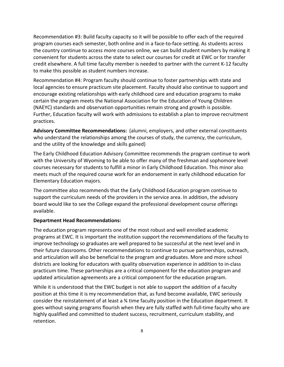Recommendation #3: Build faculty capacity so it will be possible to offer each of the required program courses each semester, both online and in a face-to-face setting. As students across the country continue to access more courses online, we can build student numbers by making it convenient for students across the state to select our courses for credit at EWC or for transfer credit elsewhere. A full time faculty member is needed to partner with the current K-12 faculty to make this possible as student numbers increase.

Recommendation #4: Program faculty should continue to foster partnerships with state and local agencies to ensure practicum site placement. Faculty should also continue to support and encourage existing relationships with early childhood care and education programs to make certain the program meets the National Association for the Education of Young Children (NAEYC) standards and observation opportunities remain strong and growth is possible. Further, Education faculty will work with admissions to establish a plan to improve recruitment practices.

**Advisory Committee Recommendations:** (alumni, employers, and other external constituents who understand the relationships among the courses of study, the currency, the curriculum, and the utility of the knowledge and skills gained)

The Early Childhood Education Advisory Committee recommends the program continue to work with the University of Wyoming to be able to offer many of the freshman and sophomore level courses necessary for students to fulfill a minor in Early Childhood Education. This minor also meets much of the required course work for an endorsement in early childhood education for Elementary Education majors.

The committee also recommends that the Early Childhood Education program continue to support the curriculum needs of the providers in the service area. In addition, the advisory board would like to see the College expand the professional development course offerings available.

### **Department Head Recommendations:**

The education program represents one of the most robust and well enrolled academic programs at EWC. It is important the institution support the recommendations of the faculty to improve technology so graduates are well prepared to be successful at the next level and in their future classrooms. Other recommendations to continue to pursue partnerships, outreach, and articulation will also be beneficial to the program and graduates. More and more school districts are looking for educators with quality observation experience in addition to in-class practicum time. These partnerships are a critical component for the education program and updated articulation agreements are a critical component for the education program.

While it is understood that the EWC budget is not able to support the addition of a faculty position at this time it is my recommendation that, as fund become available, EWC seriously consider the reinstatement of at least a ¾ time faculty position in the Education department. It goes without saying programs flourish when they are fully staffed with full-time faculty who are highly qualified and committed to student success, recruitment, curriculum stability, and retention.